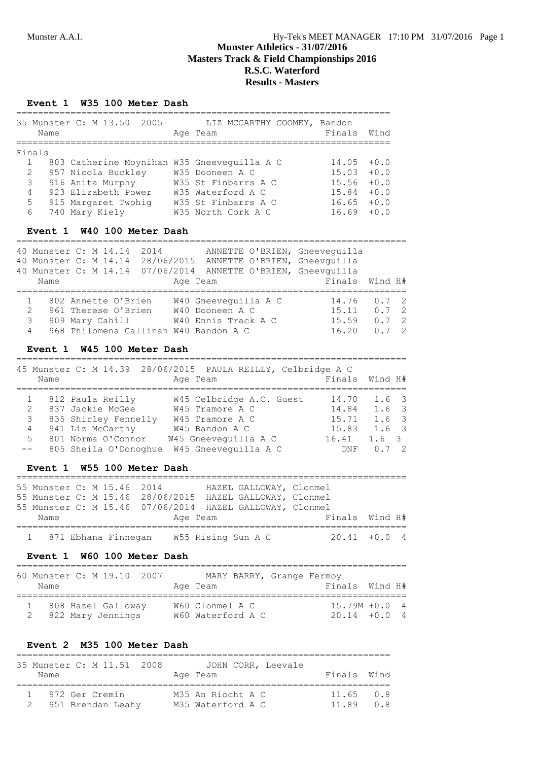### **Event 1 W35 100 Meter Dash**

|   | Name           | 35 Munster C: M 13.50<br>2005               | LIZ MCCARTHY COOMEY, Bandon<br>Age Team | Finals Wind   |        |
|---|----------------|---------------------------------------------|-----------------------------------------|---------------|--------|
|   | Finals         |                                             |                                         |               |        |
|   | $\mathbf{1}$   | 803 Catherine Moynihan W35 Gneeveguilla A C |                                         | $14.05 + 0.0$ |        |
|   | 2              | 957 Nicola Buckley                          | W35 Dooneen A C                         | $15.03 + 0.0$ |        |
|   | 3              | 916 Anita Murphy                            | W35 St Finbarrs A C                     | 15.56         | $+0.0$ |
|   | $\overline{4}$ | 923 Elizabeth Power                         | W35 Waterford A C                       | 15.84         | $+0.0$ |
| 5 |                | 915 Margaret Twohig                         | W35 St Finbarrs A C                     | $16.65 + 0.0$ |        |
| 6 |                | 740 Mary Kiely                              | W35 North Cork A C                      | 1669          | $+0.0$ |

### **Event 1 W40 100 Meter Dash**

|   | Name | 40 Munster C: M 14.14<br>2014<br>40 Munster C: M 14.14 07/06/2014 | ANNETTE O'BRIEN, Gneeveguilla<br>40 Munster C: M 14.14 28/06/2015 ANNETTE O'BRIEN, Gneevquilla<br>ANNETTE O'BRIEN, Gneevquilla<br>Age Team | Finals Wind H# |               |                |
|---|------|-------------------------------------------------------------------|--------------------------------------------------------------------------------------------------------------------------------------------|----------------|---------------|----------------|
|   |      | 802 Annette O'Brien                                               | W40 Gneevequilla A C                                                                                                                       | 14.76          | $0.7 \quad 2$ |                |
| 2 |      | 961 Therese O'Brien                                               | W40 Dooneen A C                                                                                                                            | 15.11          | 0.72          |                |
| 3 |      | 909 Mary Cahill                                                   | W40 Ennis Track A C                                                                                                                        | 15.59          | 0.72          |                |
| 4 |      | 968 Philomena Callinan W40 Bandon A C                             |                                                                                                                                            | 16.20          |               | $\overline{2}$ |

### **Event 1 W45 100 Meter Dash**

|             |                      | 45 Munster C: M 14.39 28/06/2015 PAULA REILLY, Celbridge A C |            |                  |
|-------------|----------------------|--------------------------------------------------------------|------------|------------------|
| Name        |                      | Age Team                                                     |            | Finals Wind H#   |
|             |                      |                                                              |            |                  |
|             | 1 812 Paula Reilly   | W45 Celbridge A.C. Guest                                     | 14.70      | $1.6-3$          |
| $2^{\circ}$ | 837 Jackie McGee     | W45 Tramore A C                                              | 14.84      | 1.6 <sub>3</sub> |
| 3           | 835 Shirley Fennelly | W45 Tramore A C                                              | 15.71      | 1.6 <sub>3</sub> |
| 4           | 941 Liz McCarthy     | W45 Bandon A C                                               | 15.83      | 1.6 3            |
| 5           | 801 Norma O'Connor   | W45 Gneevequilla A C                                         | 16.41      | 1.6 3            |
|             |                      | 805 Sheila O'Donoghue W45 Gneeveguilla A C                   | <b>DNF</b> | $\frac{1}{2}$    |

### **Event 1 W55 100 Meter Dash**

| 55 Munster C: M 15.46 2014 |  | 55 Munster C: M 15.46 28/06/2015 HAZEL GALLOWAY, Clonmel | HAZEL GALLOWAY, Clonmel |                |
|----------------------------|--|----------------------------------------------------------|-------------------------|----------------|
|                            |  | 55 Munster C: M 15.46 07/06/2014 HAZEL GALLOWAY, Clonmel |                         |                |
| Name                       |  | Age Team                                                 |                         | Finals Wind H# |
|                            |  | 1 871 Ebhana Finnegan W55 Rising Sun A C                 |                         | $20.41 + 0.04$ |

### **Event 1 W60 100 Meter Dash**

| 60 Munster C: M 19.10 2007<br>Name          |  |  | Age Team                             | MARY BARRY, Grange Fermoy | Finals Wind H#                    |  |
|---------------------------------------------|--|--|--------------------------------------|---------------------------|-----------------------------------|--|
| 1 808 Hazel Galloway<br>2 822 Mary Jennings |  |  | W60 Clonmel A C<br>W60 Waterford A C |                           | $15.79M + 0.04$<br>$20.14 + 0.04$ |  |

## **Event 2 M35 100 Meter Dash**

| Name | 35 Munster C: M 11.51 2008          |  | Age Team                               | JOHN CORR, Leevale | Finals Wind             |     |
|------|-------------------------------------|--|----------------------------------------|--------------------|-------------------------|-----|
|      | 972 Ger Cremin<br>951 Brendan Leahy |  | M35 An Riocht A C<br>M35 Waterford A C |                    | $11.65 \t 0.8$<br>11 89 | 0.8 |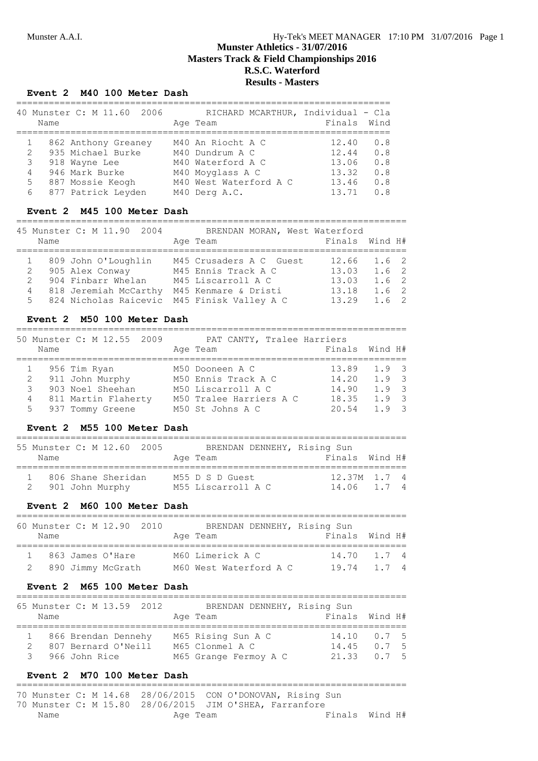#### **Event 2 M40 100 Meter Dash**

|   |                | 40 Munster C: M 11.60<br>2006 | RICHARD MCARTHUR, Individual - Cla |             |     |
|---|----------------|-------------------------------|------------------------------------|-------------|-----|
|   | Name           |                               | Age Team                           | Finals Wind |     |
|   |                |                               |                                    |             |     |
|   |                | 862 Anthony Greaney           | M40 An Riocht A C                  | 12.40       | 0.8 |
|   | $\mathbf{2}$   | 935 Michael Burke             | M40 Dundrum A C                    | 12.44       | 0.8 |
|   | 3              | 918 Wayne Lee                 | M40 Waterford A C                  | 13.06       | 0.8 |
|   | $\overline{4}$ | 946 Mark Burke                | M40 Moyglass A C                   | 13.32       | 0.8 |
|   | 5              | 887 Mossie Keogh              | M40 West Waterford A C             | 13.46       | 0.8 |
| 6 |                | 877 Patrick Leyden            | M40 Derg A.C.                      | 13.71       | 0.8 |

#### **Event 2 M45 100 Meter Dash**

========================================================================

| 45 Munster C: M 11.90 2004<br>Name                                                                                                                | BRENDAN MORAN, West Waterford<br>Age Team                                                    | Finals Wind H#                                                                            |
|---------------------------------------------------------------------------------------------------------------------------------------------------|----------------------------------------------------------------------------------------------|-------------------------------------------------------------------------------------------|
| 1 809 John O'Loughlin<br>2 905 Alex Conway<br>2 904 Finbarr Whelan<br>818 Jeremiah McCarthy<br>4<br>5 824 Nicholas Raicevic M45 Finisk Valley A C | M45 Crusaders A C Guest<br>M45 Ennis Track A C<br>M45 Liscarroll A C<br>M45 Kenmare & Dristi | $12.66$ $1.6$ 2<br>13.03<br>1.6 2<br>13.03<br>1.6 2<br>13.18<br>1.6 2<br>13.29<br>$1.6$ 2 |

#### **Event 2 M50 100 Meter Dash**

========================================================================

| Name | 50 Munster C: M 12.55 2009 | PAT CANTY, Tralee Harriers<br>Age Team | Finals Wind H#  |               |  |
|------|----------------------------|----------------------------------------|-----------------|---------------|--|
|      | 1 956 Tim Ryan             | M50 Dooneen A C                        | $13.89$ $1.9$ 3 |               |  |
|      | 2 911 John Murphy          | M50 Ennis Track A C                    | 14.20           | 1.9 3         |  |
|      | 903 Noel Sheehan           | M50 Liscarroll A C                     | 14.90           | 1.9.3         |  |
| 4    | 811 Martin Flaherty        | M50 Tralee Harriers A C                | 18.35           | $1.9 \quad 3$ |  |
|      | 5 937 Tommy Greene         | M50 St Johns A C                       | 20.54           | $1.9 \quad 3$ |  |

#### **Event 2 M55 100 Meter Dash**

| Name | 55 Munster C: M 12.60 2005              | BRENDAN DENNEHY, Rising Sun<br>Age Team | Finals Wind H#                  |  |
|------|-----------------------------------------|-----------------------------------------|---------------------------------|--|
|      | 806 Shane Sheridan<br>2 901 John Murphy | M55 D S D Guest<br>M55 Liscarroll A C   | $12.37M$ $1.7$ 4<br>14.06 1.7 4 |  |

# **Event 2 M60 100 Meter Dash**

| 60 Munster C: M 12.90 2010<br>Name |  |  | BRENDAN DENNEHY, Rising Sun<br>Age Team | Finals Wind H# |
|------------------------------------|--|--|-----------------------------------------|----------------|
| 1 863 James O'Hare                 |  |  | M60 Limerick A C                        | $14.70$ 1.7 4  |
| 2 890 Jimmy McGrath                |  |  | M60 West Waterford A C                  | 19.74 1.7 4    |

#### **Event 2 M65 100 Meter Dash**

| Name | 65 Munster C: M 13.59 2012                                    | BRENDAN DENNEHY, Rising Sun<br>Age Team                        | Finals Wind H#                                  |
|------|---------------------------------------------------------------|----------------------------------------------------------------|-------------------------------------------------|
| 3    | 1 866 Brendan Dennehy<br>807 Bernard O'Neill<br>966 John Rice | M65 Rising Sun A C<br>M65 Clonmel A C<br>M65 Grange Fermoy A C | $14.10 \t 0.75$<br>$14.45$ 0.7 5<br>21.33 0.7 5 |

#### **Event 2 M70 100 Meter Dash**

======================================================================== 70 Munster C: M 14.68 28/06/2015 CON O'DONOVAN, Rising Sun

|      |  |  |          | 70 Munster C: M 15.80 28/06/2015 JIM O'SHEA, Farranfore |  |  |                |  |
|------|--|--|----------|---------------------------------------------------------|--|--|----------------|--|
| Name |  |  | Age Team |                                                         |  |  | Finals Wind H# |  |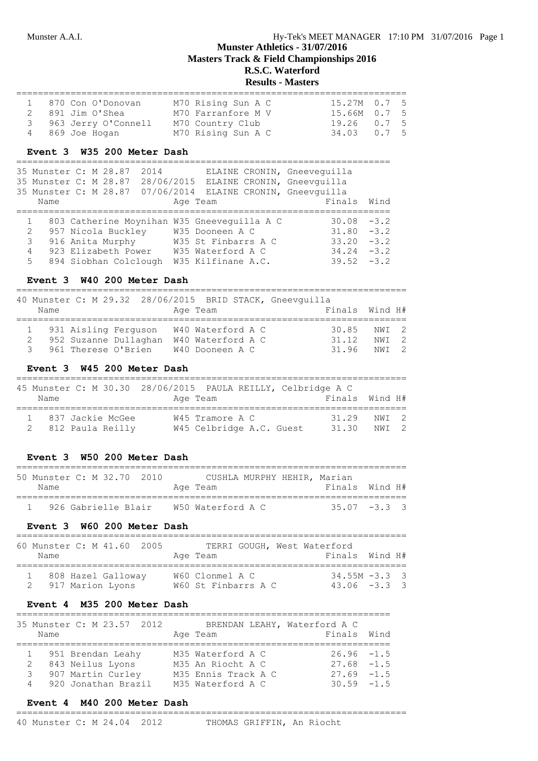# **Results - Masters**

| 1 870 Con O'Donovan   | M70 Rising Sun A C | $15.27M$ 0.7 5 |  |
|-----------------------|--------------------|----------------|--|
| 2 891 Jim O'Shea      | M70 Farranfore M V | 15.66M 0.7 5   |  |
| 3 963 Jerry O'Connell | M70 Country Club   | 19.26 0.7 5    |  |
| 4 869 Joe Hogan       | M70 Rising Sun A C | 34.03 0.7 5    |  |

#### **Event 3 W35 200 Meter Dash**

=====================================================================

| 35 Munster C: M 28.87 |                     | 2014 |                                             | ELAINE CRONIN, Gneevequilla                                 |  |
|-----------------------|---------------------|------|---------------------------------------------|-------------------------------------------------------------|--|
|                       |                     |      |                                             | 35 Munster C: M 28.87 28/06/2015 ELAINE CRONIN, Gneevquilla |  |
|                       |                     |      |                                             | 35 Munster C: M 28.87 07/06/2014 ELAINE CRONIN, Gneevquilla |  |
| Name                  |                     |      | Age Team                                    | Finals Wind                                                 |  |
|                       |                     |      | 803 Catherine Moynihan W35 Gneeveguilla A C | $30.08 - 3.2$                                               |  |
| $\mathbf{2}$          | 957 Nicola Buckley  |      | W35 Dooneen A C                             | $31.80 - 3.2$                                               |  |
| $\mathcal{S}$         |                     |      | 916 Anita Murphy M35 St Finbarrs A C        | $33.20 - 3.2$                                               |  |
| 4                     | 923 Elizabeth Power |      | W35 Waterford A C                           | $34.24 - 3.2$                                               |  |
| 5                     |                     |      | 894 Siobhan Colclough W35 Kilfinane A.C.    | $39.52 - 3.2$                                               |  |

### **Event 3 W40 200 Meter Dash**

======================================================================== 10 Munster C: M 29.32 28/06/2015 BBID STACK, Gne

| Name |                       | Age Team                                 |       | Finals Wind H# |  |
|------|-----------------------|------------------------------------------|-------|----------------|--|
|      |                       | 1 931 Aisling Ferguson W40 Waterford A C | 30.85 | NWI 2          |  |
|      | 952 Suzanne Dullaghan | W40 Waterford A C                        | 31.12 | NWT 2          |  |
|      | 3 961 Therese O'Brien | W40 Dooneen A C                          | 31.96 | NWT 2          |  |

### **Event 3 W45 200 Meter Dash**

| Name |                                          | 45 Munster C: M 30.30 28/06/2015 PAULA REILLY, Celbridge A C<br>Age Team | Finals Wind H# |                |  |
|------|------------------------------------------|--------------------------------------------------------------------------|----------------|----------------|--|
|      | 1 837 Jackie McGee<br>2 812 Paula Reilly | W45 Tramore A C<br>W45 Celbridge A.C. Guest                              | 31.29<br>31.30 | NWT 2<br>NWT 2 |  |

#### **Event 3 W50 200 Meter Dash**

| 50 Munster C: M 32.70 2010 |  |  |  |                   |  | CUSHLA MURPHY HEHIR, Marian |  |
|----------------------------|--|--|--|-------------------|--|-----------------------------|--|
| Name                       |  |  |  | Age Team          |  | Finals Wind H#              |  |
| 926 Gabrielle Blair        |  |  |  | W50 Waterford A C |  | $35.07 - 3.3$ 3             |  |

### **Event 3 W60 200 Meter Dash**

| 60 Munster C: M 41.60 2005<br>Name |  |                    |  | Age Team                               |  | TERRI GOUGH, West Waterford | Finals Wind H#                      |  |
|------------------------------------|--|--------------------|--|----------------------------------------|--|-----------------------------|-------------------------------------|--|
| 2 917 Marion Lyons                 |  | 808 Hazel Galloway |  | W60 Clonmel A C<br>W60 St Finbarrs A C |  |                             | $34.55M - 3.3$ 3<br>$43.06 - 3.3$ 3 |  |

### **Event 4 M35 200 Meter Dash**

|      | 35 Munster C: M 23.57 2012 |                     | BRENDAN LEAHY, Waterford A C |  |
|------|----------------------------|---------------------|------------------------------|--|
| Name |                            | Age Team            | Finals Wind                  |  |
|      |                            |                     |                              |  |
|      | 1 951 Brendan Leahy        | M35 Waterford A C   | $26.96 - 1.5$                |  |
| 2    | 843 Neilus Lyons           | M35 An Riocht A C   | $27.68 - 1.5$                |  |
| 3    | 907 Martin Curley          | M35 Ennis Track A C | $27.69 - 1.5$                |  |
|      | 4 920 Jonathan Brazil      | M35 Waterford A C   | $30.59 - 1.5$                |  |

#### **Event 4 M40 200 Meter Dash** ========================================================================

40 Munster C: M 24.04 2012 THOMAS GRIFFIN, An Riocht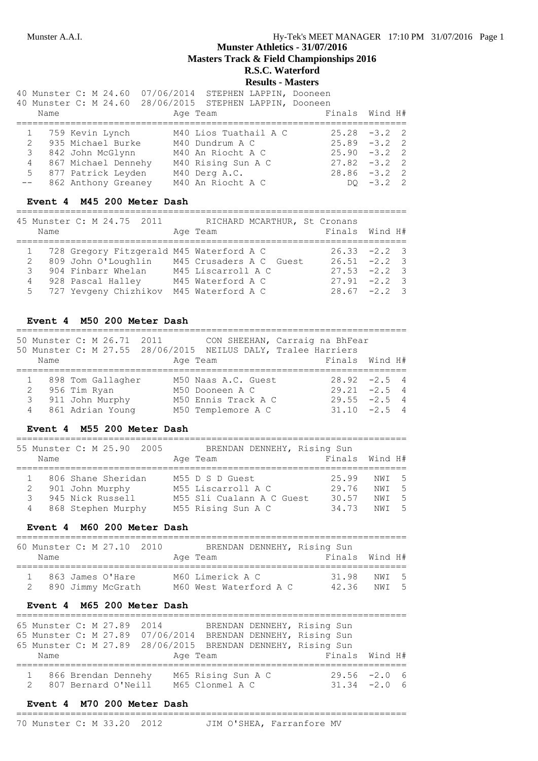# **Munster Athletics - 31/07/2016**

**Masters Track & Field Championships 2016**

## **R.S.C. Waterford Results - Masters**

|                     |                 |                        | 40 Munster C: M 24.60 07/06/2014 STEPHEN LAPPIN, Dooneen<br>40 Munster C: M 24.60 28/06/2015 STEPHEN LAPPIN, Dooneen |  |                 |  |
|---------------------|-----------------|------------------------|----------------------------------------------------------------------------------------------------------------------|--|-----------------|--|
| Name                |                 |                        | Age Team                                                                                                             |  | Finals Wind H#  |  |
|                     |                 |                        |                                                                                                                      |  |                 |  |
|                     | 759 Kevin Lynch |                        | M40 Lios Tuathail A C                                                                                                |  | $25.28 - 3.2$ 2 |  |
| 2 935 Michael Burke |                 |                        | M40 Dundrum A C                                                                                                      |  | $25.89 - 3.2$ 2 |  |
| 3 842 John McGlynn  |                 |                        | M40 An Riocht A C                                                                                                    |  | $25.90 - 3.2$ 2 |  |
|                     |                 | 4 867 Michael Dennehy  | M40 Rising Sun A C                                                                                                   |  | $27.82 - 3.2$ 2 |  |
|                     |                 | 5 877 Patrick Leyden   | M40 Derg A.C.                                                                                                        |  | $28.86 - 3.2$ 2 |  |
|                     |                 | -- 862 Anthony Greaney | M40 An Riocht A C                                                                                                    |  | DO $-3.2$ 2     |  |

#### **Event 4 M45 200 Meter Dash**

========================================================================

|      | 45 Munster C: M 24.75 2011                 | RICHARD MCARTHUR, St Cronans |                 |
|------|--------------------------------------------|------------------------------|-----------------|
| Name |                                            | Age Team                     | Finals Wind H#  |
|      |                                            |                              |                 |
|      | 1 728 Gregory Fitzgerald M45 Waterford A C |                              | $26.33 -2.2$ 3  |
|      | 2 809 John O'Loughlin                      | M45 Crusaders A C Guest      | $26.51 -2.2$ 3  |
| 3    | 904 Finbarr Whelan                         | M45 Liscarroll A C           | $27.53 -2.2$ 3  |
|      | 4 928 Pascal Halley                        | M45 Waterford A C            | $27.91 - 2.2$ 3 |
|      | 5 727 Yevgeny Chizhikov                    | M45 Waterford A C            | $28.67 - 2.2$ 3 |

### **Event 4 M50 200 Meter Dash**

|      | 50 Munster C: M 26.71 2011<br>50 Munster C: M 27.55 28/06/2015 NEILUS DALY, Tralee Harriers |                     |  | CON SHEEHAN, Carraig na BhFear |  |
|------|---------------------------------------------------------------------------------------------|---------------------|--|--------------------------------|--|
| Name |                                                                                             | Age Team            |  | Finals Wind H#                 |  |
|      |                                                                                             |                     |  |                                |  |
|      | 1 898 Tom Gallagher                                                                         | M50 Naas A.C. Guest |  | $28.92 - 2.5$ 4                |  |
| 2    | 956 Tim Ryan                                                                                | M50 Dooneen A C     |  | $29.21 - 2.5$ 4                |  |
| 3    | 911 John Murphy                                                                             | M50 Ennis Track A C |  | $29.55 - 2.5$ 4                |  |
| 4    | 861 Adrian Young                                                                            | M50 Templemore A C  |  | $31.10 -2.5$ 4                 |  |

#### **Event 4 M55 200 Meter Dash**

#### ========================================================================

| 55 Munster C: M 25.90 2005 |                    |  | BRENDAN DENNEHY, Rising Sun |                |       |  |
|----------------------------|--------------------|--|-----------------------------|----------------|-------|--|
| Name                       |                    |  | Age Team                    | Finals Wind H# |       |  |
|                            |                    |  |                             |                |       |  |
|                            | 806 Shane Sheridan |  | M55 D S D Guest             | 25.99          | NWI 5 |  |
| 2 901 John Murphy          |                    |  | M55 Liscarroll A C          | 29.76          | NWT 5 |  |
| $\mathcal{R}$              | 945 Nick Russell   |  | M55 Sli Cualann A C Guest   | 30.57          | NWT 5 |  |
| 4 868 Stephen Murphy       |                    |  | M55 Rising Sun A C          | 34.73          | NWT 5 |  |

#### **Event 4 M60 200 Meter Dash**

| M<br>$\sim$<br>M |  | $\overline{\phantom{0}}$ |
|------------------|--|--------------------------|

| Name               | 60 MUNSTEL C: M 27.10 2010 | BRENDAN DENNEHI, KISING SUN<br>Age Team |  |  | Finals Wind H# |  |
|--------------------|----------------------------|-----------------------------------------|--|--|----------------|--|
| 1 863 James O'Hare |                            | M60 Limerick A C                        |  |  | 31.98 NWI 5    |  |
|                    | 2 890 Jimmy McGrath        | M60 West Waterford A C                  |  |  | 42.36 NWI 5    |  |

#### **Event 4 M65 200 Meter Dash**

| 65 Munster C: M 27.89 2014 |  |  |          |                    | BRENDAN DENNEHY, Rising Sun                                  |  |                |  |
|----------------------------|--|--|----------|--------------------|--------------------------------------------------------------|--|----------------|--|
|                            |  |  |          |                    | 65 Munster C: M 27.89 07/06/2014 BRENDAN DENNEHY, Rising Sun |  |                |  |
|                            |  |  |          |                    | 65 Munster C: M 27.89 28/06/2015 BRENDAN DENNEHY, Rising Sun |  |                |  |
| Name                       |  |  | Age Team |                    |                                                              |  | Finals Wind H# |  |
|                            |  |  |          |                    |                                                              |  |                |  |
| 1 866 Brendan Dennehy      |  |  |          | M65 Rising Sun A C |                                                              |  | $29.56 -2.0 6$ |  |
| 2 807 Bernard O'Neill      |  |  |          | M65 Clonmel A C    |                                                              |  | $31.34 -2.0$ 6 |  |

### **Event 4 M70 200 Meter Dash**

#### ======================================================================== 70 Munster C: M 33.20 2012 JIM O'SHEA, Farranfore MV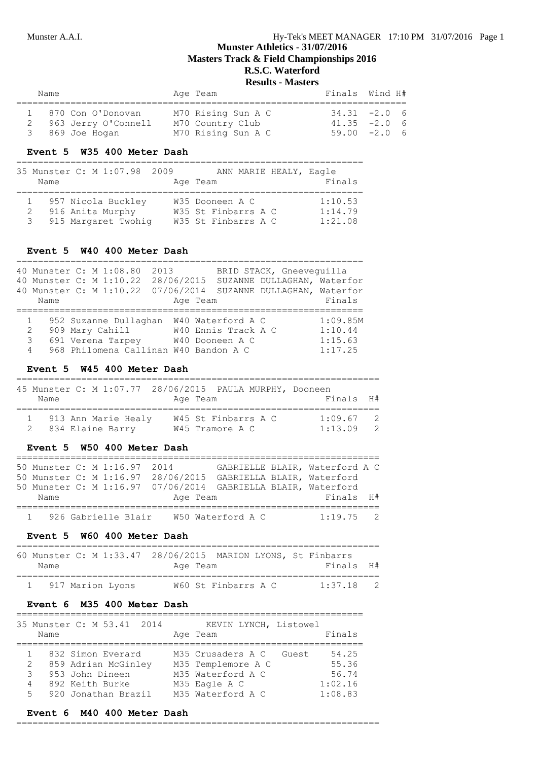| Name |                                            | Age Team                               | Finals Wind H#                   |  |
|------|--------------------------------------------|----------------------------------------|----------------------------------|--|
|      | 1 870 Con O'Donovan<br>963 Jerry O'Connell | M70 Rising Sun A C<br>M70 Country Club | $34.31 -2.0$ 6<br>$41.35 -2.0 6$ |  |
|      | 3 869 Joe Hogan                            | M70 Rising Sun A C                     | $59.00 -2.06$                    |  |

#### **Event 5 W35 400 Meter Dash**

# ================================================================

| Name | 35 Munster C: M 1:07.98 2009                                    | ANN MARIE HEALY, Eagle<br>Age Team                            | Finals                        |
|------|-----------------------------------------------------------------|---------------------------------------------------------------|-------------------------------|
|      | 957 Nicola Buckley<br>916 Anita Murphy<br>3 915 Margaret Twohig | W35 Dooneen A C<br>W35 St Finbarrs A C<br>W35 St Finbarrs A C | 1:10.53<br>1:14.79<br>1:21.08 |

#### **Event 5 W40 400 Meter Dash**

|      | 40 Munster C: M 1:08.80<br>2013       |            |                     | BRID STACK, Gneeveguilla    |          |
|------|---------------------------------------|------------|---------------------|-----------------------------|----------|
|      | 40 Munster C: M 1:10.22               | 28/06/2015 |                     | SUZANNE DULLAGHAN, Waterfor |          |
|      | 40 Munster C: M 1:10.22               | 07/06/2014 |                     | SUZANNE DULLAGHAN, Waterfor |          |
| Name |                                       | Age Team   |                     |                             | Finals   |
|      |                                       |            |                     |                             |          |
|      | 952 Suzanne Dullaghan                 |            | W40 Waterford A C   |                             | 1:09.85M |
| 2    | 909 Mary Cahill                       |            | W40 Ennis Track A C |                             | 1:10.44  |
| 3    | 691 Verena Tarpey                     |            | W40 Dooneen A C     |                             | 1:15.63  |
| 4    | 968 Philomena Callinan W40 Bandon A C |            |                     |                             | 1:17.25  |

### **Event 5 W45 400 Meter Dash**

| Name | 45 Munster C: M 1:07.77 28/06/2015 PAULA MURPHY, Dooneen | Age Team                               | Finals H#          |                                  |
|------|----------------------------------------------------------|----------------------------------------|--------------------|----------------------------------|
|      | 913 Ann Marie Healy<br>2 834 Elaine Barry                | W45 St Finbarrs A C<br>W45 Tramore A C | 1:09.67<br>1:13.09 | $\overline{2}$<br>$\overline{2}$ |

### **Event 5 W50 400 Meter Dash**

|      |  | 50 Munster C: M 1:16.97 2014 |          |                   | GABRIELLE BLAIR, Waterford A C                                |  |
|------|--|------------------------------|----------|-------------------|---------------------------------------------------------------|--|
|      |  |                              |          |                   | 50 Munster C: M 1:16.97 28/06/2015 GABRIELLA BLAIR, Waterford |  |
|      |  |                              |          |                   | 50 Munster C: M 1:16.97 07/06/2014 GABRIELLA BLAIR, Waterford |  |
| Name |  |                              | Age Team |                   | Finals H#                                                     |  |
|      |  |                              |          |                   |                                                               |  |
|      |  | 1 926 Gabrielle Blair        |          | W50 Waterford A C | $1:19.75$ 2                                                   |  |

### **Event 5 W60 400 Meter Dash**

| Name               |  | Age Team |                     |  | 60 Munster C: M 1:33.47 28/06/2015 MARION LYONS, St Finbarrs<br>Finals H# |  |
|--------------------|--|----------|---------------------|--|---------------------------------------------------------------------------|--|
| 1 917 Marion Lyons |  |          | W60 St Finbarrs A C |  | $1:37.18$ 2                                                               |  |

### **Event 6 M35 400 Meter Dash**

| 35 Munster C: M 53.41 2014<br>Name  |  |                                                                                                       |  | Age Team                                                                                           | KEVIN LYNCH, Listowel | Finals                                        |
|-------------------------------------|--|-------------------------------------------------------------------------------------------------------|--|----------------------------------------------------------------------------------------------------|-----------------------|-----------------------------------------------|
| $\mathbf{2}^{\circ}$<br>3<br>4<br>5 |  | 832 Simon Everard<br>859 Adrian McGinley<br>953 John Dineen<br>892 Keith Burke<br>920 Jonathan Brazil |  | M35 Crusaders A C<br>M35 Templemore A C<br>M35 Waterford A C<br>M35 Eagle A C<br>M35 Waterford A C | Guest                 | 54.25<br>55.36<br>56.74<br>1:02.16<br>1:08.83 |

#### **Event 6 M40 400 Meter Dash**

#### ===================================================================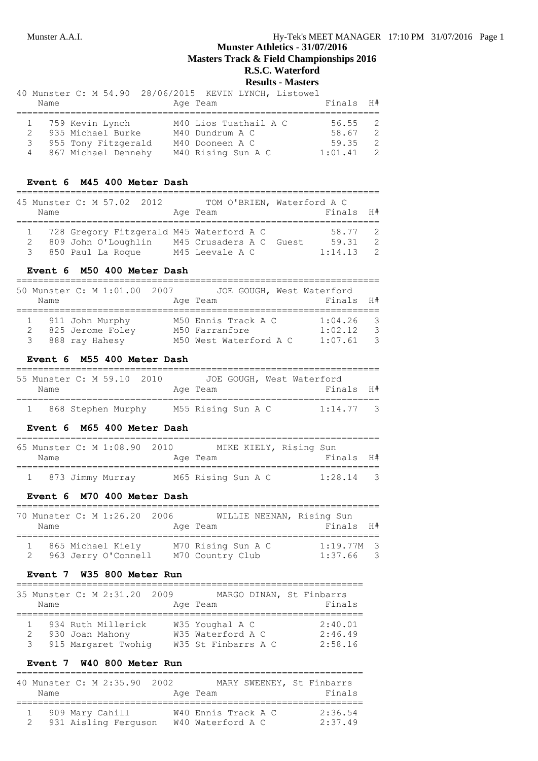# **Munster Athletics - 31/07/2016 Masters Track & Field Championships 2016**

**R.S.C. Waterford**

# **Results - Masters**

|               |                       | 40 Munster C: M 54.90 28/06/2015 KEVIN LYNCH, Listowel |           |                |
|---------------|-----------------------|--------------------------------------------------------|-----------|----------------|
| Name          |                       | Age Team                                               | Finals H# |                |
|               | 1 759 Kevin Lynch     | M40 Lios Tuathail A C                                  | 56.55     | - 2            |
|               | 2 935 Michael Burke   | M40 Dundrum A C                                        | 58.67     | $\overline{2}$ |
| $\mathcal{E}$ | 955 Tony Fitzgerald   | M40 Dooneen A C                                        | 59.35     | - 2            |
|               | 4 867 Michael Dennehy | M40 Rising Sun A C                                     | 1:01.41   | $\mathcal{P}$  |

### **Event 6 M45 400 Meter Dash**

| 45 Munster C: M 57.02 2012<br>Name |                     |  |  | TOM O'BRIEN, Waterford A C<br>Age Team   | Finals  | H #            |
|------------------------------------|---------------------|--|--|------------------------------------------|---------|----------------|
|                                    |                     |  |  |                                          |         |                |
|                                    |                     |  |  | 728 Gregory Fitzgerald M45 Waterford A C | 58.77 2 |                |
|                                    | 809 John O'Loughlin |  |  | M45 Crusaders A C Guest                  | 59.31   | $\overline{2}$ |
| 3 850 Paul La Roque                |                     |  |  | M45 Leevale A C                          | 1:14.13 | $\overline{2}$ |

#### **Event 6 M50 400 Meter Dash**

|      | 50 Munster C: M 1:01.00 2007 | JOE GOUGH, West Waterford |         |     |
|------|------------------------------|---------------------------|---------|-----|
| Name |                              | Age Team                  | Finals  | H # |
|      | 1 911 John Murphy            | M50 Ennis Track A C       | 1:04.26 | - 3 |
| 2    | 825 Jerome Foley             | M50 Farranfore            | 1:02.12 | - 3 |
|      | 3 888 ray Hahesy             | M50 West Waterford A C    | 1:07.61 | - 3 |

### **Event 6 M55 400 Meter Dash**

|      | 55 Munster C: M 59.10 2010 |  |                    |  | JOE GOUGH, West Waterford |  |
|------|----------------------------|--|--------------------|--|---------------------------|--|
| Name |                            |  | Age Team           |  | Finals H#                 |  |
|      |                            |  |                    |  |                           |  |
|      | 868 Stephen Murphy         |  | M55 Rising Sun A C |  | $1:14.77$ 3               |  |

### **Event 6 M65 400 Meter Dash**

|      | 65 Munster C: M 1:08.90 2010 |                    | MIKE KIELY, Rising Sun |             |  |
|------|------------------------------|--------------------|------------------------|-------------|--|
| Name |                              | Age Team           |                        | Finals H#   |  |
|      | 1 873 Jimmy Murray           | M65 Rising Sun A C |                        | $1:28.14$ 3 |  |

### **Event 6 M70 400 Meter Dash**

| Name | 70 Munster C: M 1:26.20 2006             | WILLIE NEENAN, Rising Sun<br>Age Team  | Finals H#               |                          |
|------|------------------------------------------|----------------------------------------|-------------------------|--------------------------|
|      | 865 Michael Kiely<br>963 Jerry O'Connell | M70 Rising Sun A C<br>M70 Country Club | $1:19.77M$ 3<br>1:37.66 | $\overline{\phantom{a}}$ |

### **Event 7 W35 800 Meter Run**

| Name   | 35 Munster C: M 2:31.20 2009                                 | Age Team                                                    |  | MARGO DINAN, St Finbarrs<br>Finals |
|--------|--------------------------------------------------------------|-------------------------------------------------------------|--|------------------------------------|
| 2<br>3 | 934 Ruth Millerick<br>930 Joan Mahony<br>915 Margaret Twohig | W35 Youghal A C<br>W35 Waterford A C<br>W35 St Finbarrs A C |  | 2:40.01<br>2:46.49<br>2:58.16      |

### **Event 7 W40 800 Meter Run**

| Name | 40 Munster C: M 2:35.90 2002            | MARY SWEENEY, St Finbarrs<br>Age Team    | Finals             |
|------|-----------------------------------------|------------------------------------------|--------------------|
|      | 909 Mary Cahill<br>931 Aisling Ferguson | W40 Ennis Track A C<br>W40 Waterford A C | 2:36.54<br>2:37.49 |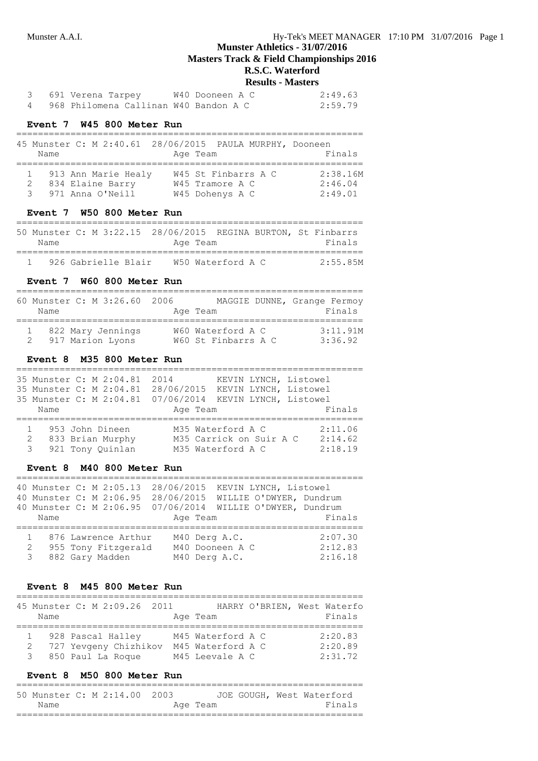| 3    691 Verena Tarpey                  | W40 Dooneen A C | 2:49.63 |
|-----------------------------------------|-----------------|---------|
| 4 968 Philomena Callinan W40 Bandon A C |                 | 2:59.79 |

### **Event 7 W45 800 Meter Run**

| Name          |                                                             | 45 Munster C: M 2:40.61 28/06/2015 PAULA MURPHY, Dooneen<br>Age Team | Finals                         |
|---------------|-------------------------------------------------------------|----------------------------------------------------------------------|--------------------------------|
| $\mathcal{R}$ | 913 Ann Marie Healy<br>834 Elaine Barry<br>971 Anna O'Neill | W45 St Finbarrs A C<br>W45 Tramore A C<br>W45 Dohenys A C            | 2:38.16M<br>2:46.04<br>2:49.01 |

### **Event 7 W50 800 Meter Run**

| Name |                     |  | 50 Munster C: M 3:22.15 28/06/2015 REGINA BURTON, St Finbarrs<br>Age Team |  | Finals   |
|------|---------------------|--|---------------------------------------------------------------------------|--|----------|
|      | 926 Gabrielle Blair |  | W50 Waterford A C                                                         |  | 2:55.85M |

#### **Event 7 W60 800 Meter Run**

| Name | 60 Munster C: M 3:26.60 2006          | Age Team                                 | MAGGIE DUNNE, Grange Fermoy<br>Finals |
|------|---------------------------------------|------------------------------------------|---------------------------------------|
|      | 822 Mary Jennings<br>917 Marion Lyons | W60 Waterford A C<br>W60 St Finbarrs A C | 3:11.91M<br>3:36.92                   |

### **Event 8 M35 800 Meter Run**

|        | 35 Munster C: M 2:04.81<br>35 Munster C: M 2:04.81<br>35 Munster C: M 2:04.81 | 2014<br>28/06/2015<br>07/06/2014 | KEVIN LYNCH, Listowel<br>KEVIN LYNCH, Listowel<br>KEVIN LYNCH, Listowel |                               |
|--------|-------------------------------------------------------------------------------|----------------------------------|-------------------------------------------------------------------------|-------------------------------|
| Name   |                                                                               | Age Team                         |                                                                         | Finals                        |
| 2<br>3 | 953 John Dineen<br>833 Brian Murphy<br>921 Tony Quinlan                       |                                  | M35 Waterford A C<br>M35 Carrick on Suir A C<br>M35 Waterford A C       | 2:11.06<br>2:14.62<br>2:18.19 |

#### **Event 8 M40 800 Meter Run**

|               | 40 Munster C: M 2:05.13<br>40 Munster C: M 2:06.95 | 28/06/2015<br>KEVIN LYNCH, Listowel<br>28/06/2015<br>WILLIE O'DWYER, Dundrum |         |
|---------------|----------------------------------------------------|------------------------------------------------------------------------------|---------|
|               | 40 Munster C: M 2:06.95                            | 07/06/2014<br>WILLIE O'DWYER, Dundrum                                        |         |
| Name          |                                                    | Age Team                                                                     | Finals  |
|               | 876 Lawrence Arthur                                | M40 Derg A.C.                                                                | 2:07.30 |
| 2             | 955 Tony Fitzgerald                                | M40 Dooneen A C                                                              | 2:12.83 |
| $\mathcal{E}$ | 882 Gary Madden                                    | M40 Derg A.C.                                                                | 2:16.18 |

#### **Event 8 M45 800 Meter Run**

| Name | 45 Munster C: M 2:09.26 2011 | Age Team          | HARRY O'BRIEN, West Waterfo<br>Finals |
|------|------------------------------|-------------------|---------------------------------------|
|      |                              |                   |                                       |
|      | 928 Pascal Halley            | M45 Waterford A C | 2:20.83                               |
|      | 727 Yevgeny Chizhikov        | M45 Waterford A C | 2:20.89                               |
| 3    | 850 Paul La Roque            | M45 Leevale A C   | 2:31.72                               |

### **Event 8 M50 800 Meter Run**

================================================================ 50 Munster C: M 2:14.00 2003 JOE GOUGH, West Waterford Name **Age Team Age Team** Finals ================================================================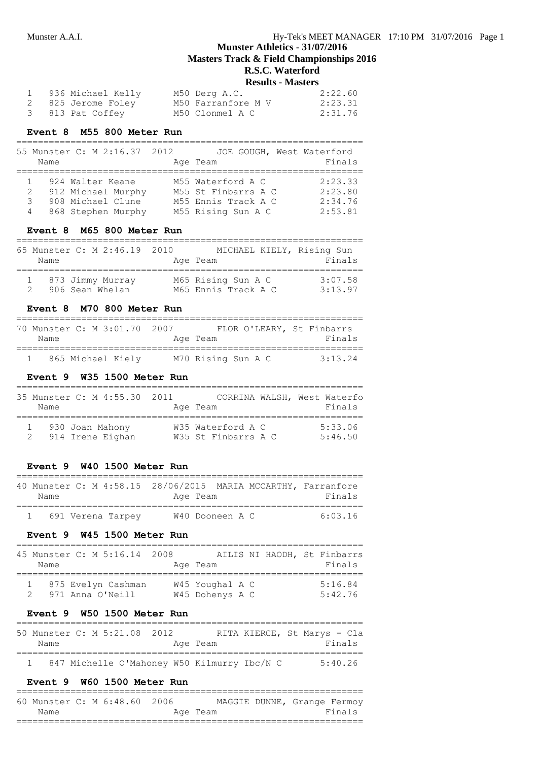### **Results - Masters**

| 1 936 Michael Kelly | M50 Derg A.C.      | 2:22.60 |
|---------------------|--------------------|---------|
| 2 825 Jerome Foley  | M50 Farranfore M V | 2:23.31 |
| 3 813 Pat Coffey    | M50 Clonmel A C    | 2:31.76 |

### **Event 8 M55 800 Meter Run**

| Name        | 55 Munster C: M 2:16.37 2012                                                      | JOE GOUGH, West Waterford<br>Age Team                                                 | Finals                                   |
|-------------|-----------------------------------------------------------------------------------|---------------------------------------------------------------------------------------|------------------------------------------|
| 2<br>3<br>4 | 924 Walter Keane<br>912 Michael Murphy<br>908 Michael Clune<br>868 Stephen Murphy | M55 Waterford A C<br>M55 St Finbarrs A C<br>M55 Ennis Track A C<br>M55 Rising Sun A C | 2:23.33<br>2:23.80<br>2:34.76<br>2:53.81 |

### **Event 8 M65 800 Meter Run**

| Name | 65 Munster C: M 2:46.19 2010          | MICHAEL KIELY, Rising Sun<br>Age Team     | Finals             |
|------|---------------------------------------|-------------------------------------------|--------------------|
|      | 1 873 Jimmy Murray<br>906 Sean Whelan | M65 Rising Sun A C<br>M65 Ennis Track A C | 3:07.58<br>3:13.97 |

### **Event 8 M70 800 Meter Run**

| Name | 70 Munster C: M 3:01.70 2007 | FLOR O'LEARY, St Finbarrs<br>Age Team | Finals    |
|------|------------------------------|---------------------------------------|-----------|
|      | 865 Michael Kiely            | M70 Rising Sun A C                    | $3.13$ 24 |

# **Event 9 W35 1500 Meter Run**

| Name | 35 Munster C: M 4:55.30 2011        | Age Team                                 | CORRINA WALSH, West Waterfo<br>Finals |
|------|-------------------------------------|------------------------------------------|---------------------------------------|
|      | 930 Joan Mahony<br>914 Irene Eighan | W35 Waterford A C<br>W35 St Finbarrs A C | 5:33.06<br>5:46.50                    |

#### **Event 9 W40 1500 Meter Run**

| Name |                   | Age Team        |  | 40 Munster C: M 4:58.15 28/06/2015 MARIA MCCARTHY, Farranfore<br>Finals |
|------|-------------------|-----------------|--|-------------------------------------------------------------------------|
|      | 691 Verena Tarpey | W40 Dooneen A C |  | 6.0316                                                                  |

#### **Event 9 W45 1500 Meter Run**

| Name | 45 Munster C: M 5:16.14 2008           | Age Team                           |  | AILIS NI HAODH, St Finbarrs<br>Finals |
|------|----------------------------------------|------------------------------------|--|---------------------------------------|
|      | 875 Evelyn Cashman<br>971 Anna O'Neill | W45 Youghal A C<br>W45 Dohenys A C |  | 5:16.84<br>5:42.76                    |

### **Event 9 W50 1500 Meter Run**

| 50 Munster C: M 5:21.08 2012 |  |  |                                             |  | RITA KIERCE, St Marys - Cla |        |  |
|------------------------------|--|--|---------------------------------------------|--|-----------------------------|--------|--|
| Name                         |  |  | Age Team                                    |  |                             | Finals |  |
|                              |  |  |                                             |  |                             |        |  |
|                              |  |  | 847 Michelle O'Mahoney W50 Kilmurry Ibc/N C |  | 5:40.26                     |        |  |

#### **Event 9 W60 1500 Meter Run**

| 60 Munster C: M 6:48.60 2006 |  |  |          | MAGGIE DUNNE, Grange Fermoy |
|------------------------------|--|--|----------|-----------------------------|
| Name                         |  |  | Age Team | Finals                      |
|                              |  |  |          |                             |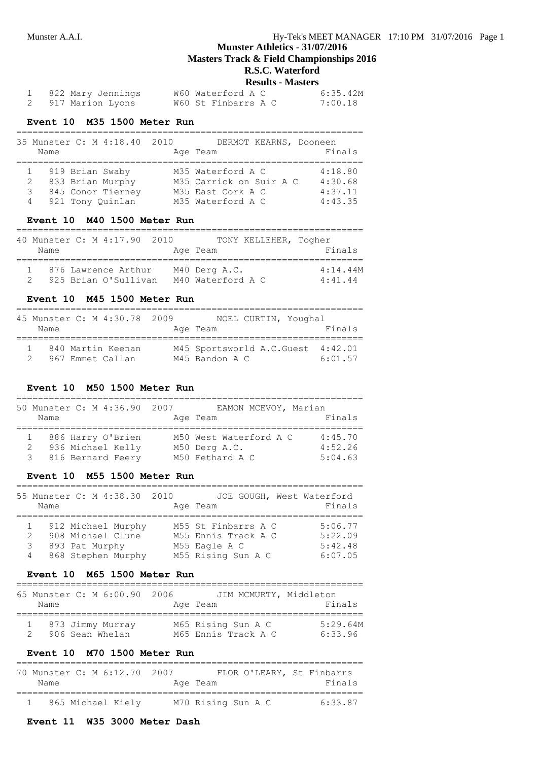# **Munster Athletics - 31/07/2016**

**Masters Track & Field Championships 2016**

# **R.S.C. Waterford**

### **Results - Masters**

| 822 Mary Jennings | W60 Waterford A C   | 6:35.42M |
|-------------------|---------------------|----------|
| 917 Marion Lyons  | W60 St Finbarrs A C | 7:00.18  |

### **Event 10 M35 1500 Meter Run**

|   | Name | 35 Munster C: M 4:18.40 2010 | DERMOT KEARNS, Dooneen<br>Age Team | Finals  |
|---|------|------------------------------|------------------------------------|---------|
|   |      | 919 Brian Swaby              | M35 Waterford A C                  | 4:18.80 |
|   | 2    | 833 Brian Murphy             | M35 Carrick on Suir A C            | 4:30.68 |
|   | 3    | 845 Conor Tierney            | M35 East Cork A C                  | 4:37.11 |
| 4 |      | 921 Tony Quinlan             | M35 Waterford A C                  | 4:43.35 |

### **Event 10 M40 1500 Meter Run**

| Name | 40 Munster C: M 4:17.90 2010                | TONY KELLEHER, Togher<br>Age Team  | Finals              |
|------|---------------------------------------------|------------------------------------|---------------------|
|      | 876 Lawrence Arthur<br>925 Brian O'Sullivan | M40 Derg A.C.<br>M40 Waterford A C | 4:14.44M<br>4:41.44 |

#### **Event 10 M45 1500 Meter Run**

| 45 Munster C: M 4:30.78 2009<br>Name  | NOEL CURTIN, Youghal<br>Age Team            | Finals             |
|---------------------------------------|---------------------------------------------|--------------------|
| 840 Martin Keenan<br>967 Emmet Callan | M45 Sportsworld A.C.Guest<br>M45 Bandon A C | 4:42.01<br>6:01.57 |

### **Event 10 M50 1500 Meter Run**

| Name        | 50 Munster C: M 4:36.90 2007                                | EAMON MCEVOY, Marian<br>Age Team                           | Finals                        |
|-------------|-------------------------------------------------------------|------------------------------------------------------------|-------------------------------|
| 1<br>2<br>3 | 886 Harry O'Brien<br>936 Michael Kelly<br>816 Bernard Feery | M50 West Waterford A C<br>M50 Derg A.C.<br>M50 Fethard A C | 4:45.70<br>4:52.26<br>5:04.63 |

### **Event 10 M55 1500 Meter Run**

|             | Name | 55 Munster C: M 4:38.30 2010                                                    | JOE GOUGH, West Waterford<br>Age Team                                             | Finals                                   |
|-------------|------|---------------------------------------------------------------------------------|-----------------------------------------------------------------------------------|------------------------------------------|
| 2<br>3<br>4 |      | 912 Michael Murphy<br>908 Michael Clune<br>893 Pat Murphy<br>868 Stephen Murphy | M55 St Finbarrs A C<br>M55 Ennis Track A C<br>M55 Eagle A C<br>M55 Rising Sun A C | 5:06.77<br>5:22.09<br>5:42.48<br>6:07.05 |

### **Event 10 M65 1500 Meter Run**

| Name | 65 Munster C: M 6:00.90 2006          | JIM MCMURTY, Middleton<br>Age Team        | Finals              |
|------|---------------------------------------|-------------------------------------------|---------------------|
|      | 1 873 Jimmy Murray<br>906 Sean Whelan | M65 Rising Sun A C<br>M65 Ennis Track A C | 5:29.64M<br>6:33.96 |

### **Event 10 M70 1500 Meter Run**

| 70 Munster C: M 6:12.70 2007 |                   |  |                    | FLOR O'LEARY, St Finbarrs |         |
|------------------------------|-------------------|--|--------------------|---------------------------|---------|
| Name                         |                   |  | Age Team           |                           | Finals  |
|                              |                   |  |                    |                           |         |
|                              | 865 Michael Kiely |  | M70 Rising Sun A C |                           | 6:33.87 |

## **Event 11 W35 3000 Meter Dash**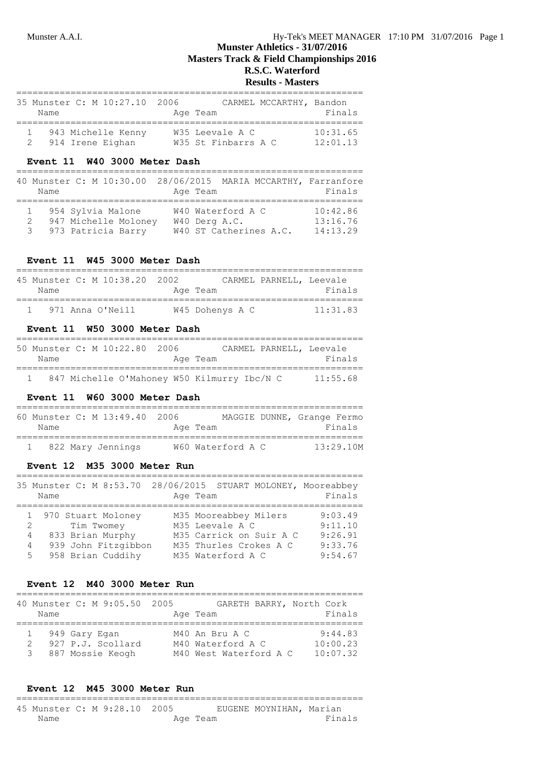#### **Results - Masters**

| 35 Munster C: M 10:27.10 2006<br>Name  | CARMEL MCCARTHY, Bandon<br>Age Team    | Finals               |
|----------------------------------------|----------------------------------------|----------------------|
| 943 Michelle Kenny<br>914 Irene Eighan | W35 Leevale A C<br>W35 St Finbarrs A C | 10:31.65<br>12:01.13 |

### **Event 11 W40 3000 Meter Dash**

| Name   | 40 Munster C: M 10:30.00                                          | 28/06/2015 MARIA MCCARTHY, Farranfore<br>Age Team            | Finals                           |
|--------|-------------------------------------------------------------------|--------------------------------------------------------------|----------------------------------|
| 2<br>3 | 1 954 Sylvia Malone<br>947 Michelle Moloney<br>973 Patricia Barry | W40 Waterford A C<br>W40 Derg A.C.<br>W40 ST Catherines A.C. | 10:42.86<br>13:16.76<br>14:13.29 |

### **Event 11 W45 3000 Meter Dash**

| Name | 45 Munster C: M 10:38.20 2002 | Age Team |                 | CARMEL PARNELL, Leevale | Finals   |
|------|-------------------------------|----------|-----------------|-------------------------|----------|
|      | 971 Anna O'Neill              |          | W45 Dohenys A C |                         | 11:31.83 |

### **Event 11 W50 3000 Meter Dash**

| Name | 50 Munster C: M 10:22.80 2006               | Age Team | CARMEL PARNELL, Leevale | Finals   |
|------|---------------------------------------------|----------|-------------------------|----------|
|      | 847 Michelle O'Mahoney W50 Kilmurry Ibc/N C |          |                         | 11:55.68 |

### **Event 11 W60 3000 Meter Dash**

| Name | 60 Munster C: M 13:49.40 2006 | Age Team |                   | MAGGIE DUNNE, Grange Fermo<br>Finals |  |
|------|-------------------------------|----------|-------------------|--------------------------------------|--|
|      | 822 Mary Jennings             |          | W60 Waterford A C | 13:29.10M                            |  |

### **Event 12 M35 3000 Meter Run**

| 35 Munster C: M 8:53.70 28/06/2015 STUART MOLONEY, Mooreabbey<br>Name                                                                               | Age Team                                                                                                           | Finals                                              |
|-----------------------------------------------------------------------------------------------------------------------------------------------------|--------------------------------------------------------------------------------------------------------------------|-----------------------------------------------------|
| 1 970 Stuart Moloney<br>Tim Twomey<br>$2 \left( \frac{1}{2} \right)$<br>833 Brian Murphy<br>4<br>939 John Fitzgibbon<br>4<br>958 Brian Cuddihy<br>5 | M35 Mooreabbey Milers<br>M35 Leevale A C<br>M35 Carrick on Suir A C<br>M35 Thurles Crokes A C<br>M35 Waterford A C | 9:03.49<br>9:11.10<br>9:26.91<br>9:33.76<br>9:54.67 |

#### **Event 12 M40 3000 Meter Run**

|                    | Name | 40 Munster C: M 9:05.50 2005                           | GARETH BARRY, North Cork<br>Age Team                          | Finals                          |
|--------------------|------|--------------------------------------------------------|---------------------------------------------------------------|---------------------------------|
| $\mathcal{P}$<br>3 |      | 949 Gary Egan<br>927 P.J. Scollard<br>887 Mossie Keogh | M40 An Bru A C<br>M40 Waterford A C<br>M40 West Waterford A C | 9:44.83<br>10:00.23<br>10:07.32 |

#### **Event 12 M45 3000 Meter Run** ================================================================

|      |  | 45 Munster C: M 9:28.10 2005 |          | EUGENE MOYNIHAN, Marian |        |
|------|--|------------------------------|----------|-------------------------|--------|
| Name |  |                              | Age Team |                         | Finals |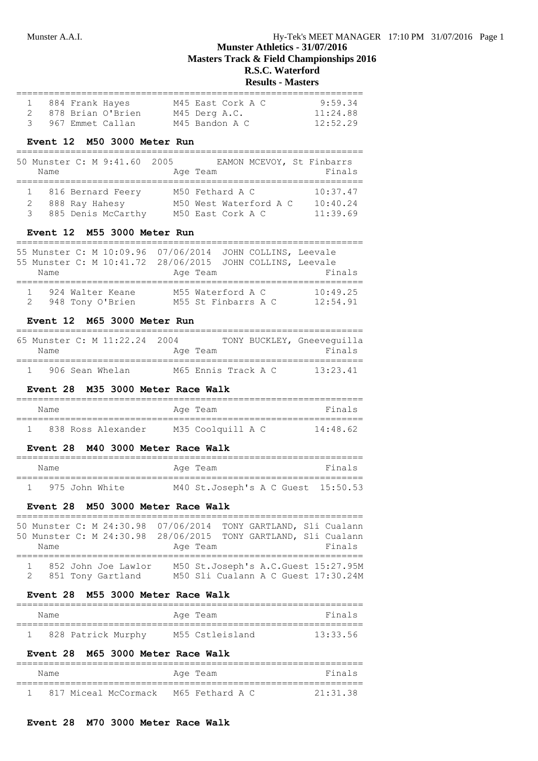#### **Results - Masters**

|  | 1 884 Frank Hayes |                   | M45 East Cork A C | 9:59.34  |
|--|-------------------|-------------------|-------------------|----------|
|  |                   | 878 Brian O'Brien | M45 Derg A.C.     | 11:24.88 |
|  |                   | 967 Emmet Callan  | M45 Bandon A C    | 12:52.29 |

#### **Event 12 M50 3000 Meter Run**

|      | 50 Munster C: M 9:41.60 2005 | EAMON MCEVOY, St Finbarrs |          |
|------|------------------------------|---------------------------|----------|
| Name |                              | Age Team                  | Finals   |
|      | 1 816 Bernard Feery          | M50 Fethard A C           | 10:37.47 |
|      |                              |                           |          |
|      | 888 Ray Hahesy               | M50 West Waterford A C    | 10:40.24 |
|      | 3 885 Denis McCarthy         | M50 East Cork A C         | 11:39.69 |

### **Event 12 M55 3000 Meter Run**

|      |                  | 55 Munster C: M 10:09.96 07/06/2014 JOHN COLLINS, Leevale |          |
|------|------------------|-----------------------------------------------------------|----------|
|      |                  | 55 Munster C: M 10:41.72 28/06/2015 JOHN COLLINS, Leevale |          |
| Name |                  | Age Team                                                  | Finals   |
|      |                  |                                                           |          |
|      | 924 Walter Keane | M55 Waterford A C                                         | 10:49.25 |
| 2    | 948 Tony O'Brien | M55 St Finbarrs A C                                       | 12:54.91 |
|      |                  |                                                           |          |

### **Event 12 M65 3000 Meter Run**

| Name | 65 Munster C: M 11:22.24 2004 | Age Team |                     | TONY BUCKLEY, Gneevequilla<br>Finals |
|------|-------------------------------|----------|---------------------|--------------------------------------|
|      | 906 Sean Whelan               |          | M65 Ennis Track A C | 13:23.41                             |

### **Event 28 M35 3000 Meter Race Walk**

| Name |                    | Age Team          | Finals   |
|------|--------------------|-------------------|----------|
|      | 838 Ross Alexander | M35 Coolquill A C | 14:48.62 |

### **Event 28 M40 3000 Meter Race Walk**

| Name |                | Age Team                           | Finals |
|------|----------------|------------------------------------|--------|
|      | 975 John White | M40 St.Joseph's A C Guest 15:50.53 |        |

### **Event 28 M50 3000 Meter Race Walk**

|                       |  |  |          |  |  | 50 Munster C: M 24:30.98 07/06/2014 TONY GARTLAND, Sli Cualann |
|-----------------------|--|--|----------|--|--|----------------------------------------------------------------|
|                       |  |  |          |  |  | 50 Munster C: M 24:30.98 28/06/2015 TONY GARTLAND, Sli Cualann |
| Name                  |  |  | Age Team |  |  | Finals                                                         |
|                       |  |  |          |  |  |                                                                |
| 1 852 John Joe Lawlor |  |  |          |  |  | M50 St.Joseph's A.C.Guest 15:27.95M                            |
| 2 851 Tony Gartland   |  |  |          |  |  | M50 Sli Cualann A C Guest 17:30.24M                            |

#### **Event 28 M55 3000 Meter Race Walk**

| Name |                    | Age Team        | Finals   |
|------|--------------------|-----------------|----------|
|      | 828 Patrick Murphy | M55 Cstleisland | 13:33.56 |

### **Event 28 M65 3000 Meter Race Walk**

| Name |                                        | Age Team |  | Finals           |  |
|------|----------------------------------------|----------|--|------------------|--|
|      | 817 Miceal McCormack - M65 Fethard A C |          |  | $21 \cdot 31$ 38 |  |